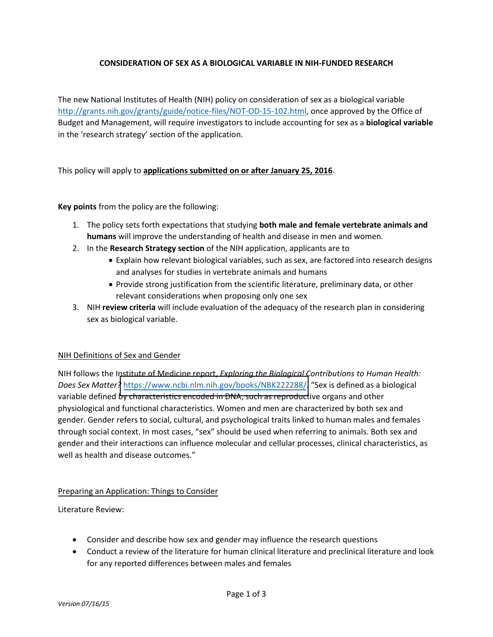## **CONSIDERATION OF SEX AS A BIOLOGICAL VARIABLE IN NIH-FUNDED RESEARCH**

The new National Institutes of Health (NIH) policy on consideration of sex as a biological variable [http://grants.nih.gov/grants/guide/notice-files/NOT-OD-15-102.html,](http://grants.nih.gov/grants/guide/notice-files/NOT-OD-15-102.html) once approved by the Office of Budget and Management, will require investigators to include accounting for sex as a **biological variable** in the 'research strategy' section of the application.

This policy will apply to **applications submitted on or after January 25, 2016**.

**Key points** from the policy are the following:

- 1. The policy sets forth expectations that studying **both male and female vertebrate animals and humans** will improve the understanding of health and disease in men and women.
- 2. In the **Research Strategy section** of the NIH application, applicants are to
	- Explain how relevant biological variables, such as sex, are factored into research designs and analyses for studies in vertebrate animals and humans
	- Provide strong justification from the scientific literature, preliminary data, or other relevant considerations when proposing only one sex
- 3. NIH **review criteria** will include evaluation of the adequacy of the research plan in considering sex as biological variable.

## NIH Definitions of Sex and Gender

NIH follows the Institute of Medicine report, *Exploring the Biological Contributions to Human Health: Does Sex Matter?* <https://www.ncbi.nlm.nih.gov/books/NBK222288/>. "Sex is defined as a biological variable defined by characteristics encoded in DNA, such as reproductive organs and other physiological and functional characteristics. Women and men are characterized by both sex and gender. Gender refers to social, cultural, and psychological traits linked to human males and females through social context. In most cases, "sex" should be used when referring to animals. Both sex and gender and their interactions can influence molecular and cellular processes, clinical characteristics, as well as health and disease outcomes."

## Preparing an Application: Things to Consider

Literature Review:

- Consider and describe how sex and gender may influence the research questions
- Conduct a review of the literature for human clinical literature and preclinical literature and look for any reported differences between males and females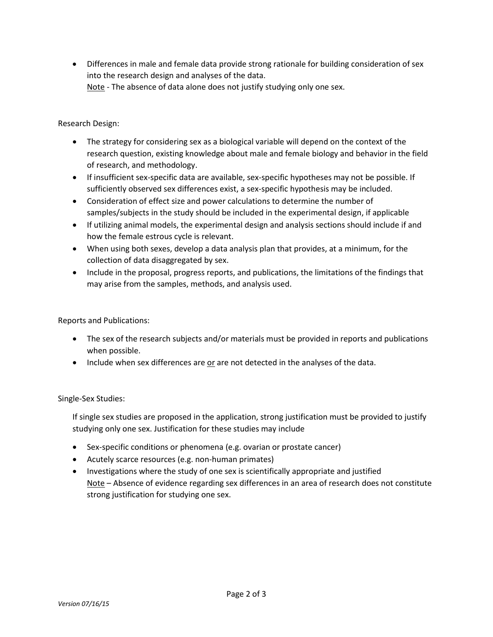Differences in male and female data provide strong rationale for building consideration of sex into the research design and analyses of the data. Note - The absence of data alone does not justify studying only one sex.

Research Design:

- The strategy for considering sex as a biological variable will depend on the context of the research question, existing knowledge about male and female biology and behavior in the field of research, and methodology.
- If insufficient sex-specific data are available, sex-specific hypotheses may not be possible. If sufficiently observed sex differences exist, a sex-specific hypothesis may be included.
- Consideration of effect size and power calculations to determine the number of samples/subjects in the study should be included in the experimental design, if applicable
- If utilizing animal models, the experimental design and analysis sections should include if and how the female estrous cycle is relevant.
- When using both sexes, develop a data analysis plan that provides, at a minimum, for the collection of data disaggregated by sex.
- Include in the proposal, progress reports, and publications, the limitations of the findings that may arise from the samples, methods, and analysis used.

Reports and Publications:

- The sex of the research subjects and/or materials must be provided in reports and publications when possible.
- $\bullet$  Include when sex differences are or are not detected in the analyses of the data.

Single-Sex Studies:

If single sex studies are proposed in the application, strong justification must be provided to justify studying only one sex. Justification for these studies may include

- Sex-specific conditions or phenomena (e.g. ovarian or prostate cancer)
- Acutely scarce resources (e.g. non-human primates)
- Investigations where the study of one sex is scientifically appropriate and justified Note – Absence of evidence regarding sex differences in an area of research does not constitute strong justification for studying one sex.